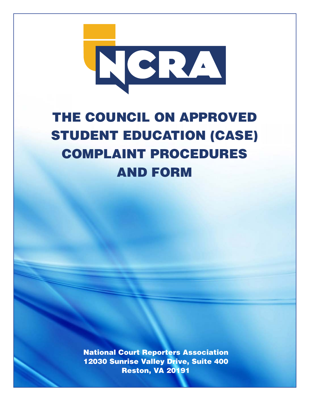

# THE COUNCIL ON APPROVED STUDENT EDUCATION (CASE) COMPLAINT PROCEDURES AND FORM

National Court Reporters Association 12030 Sunrise Valley Drive, Suite 400 Reston, VA 20191

**1**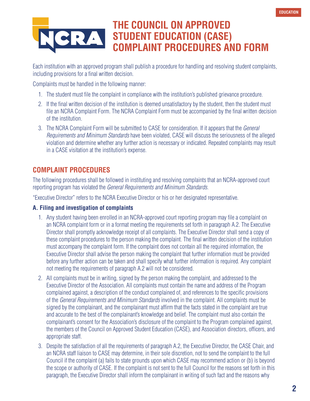# **THE COUNCIL ON APPROVED STUDENT EDUCATION (CASE) COMPLAINT PROCEDURES AND FORM**

Each institution with an approved program shall publish a procedure for handling and resolving student complaints, including provisions for a final written decision.

Complaints must be handled in the following manner:

- 1. The student must file the complaint in compliance with the institution's published grievance procedure.
- 2. If the final written decision of the institution is deemed unsatisfactory by the student, then the student must file an NCRA Complaint Form. The NCRA Complaint Form must be accompanied by the final written decision of the institution.
- 3. The NCRA Complaint Form will be submitted to CASE for consideration. If it appears that the General Requirements and Minimum Standards have been violated, CASE will discuss the seriousness of the alleged violation and determine whether any further action is necessary or indicated. Repeated complaints may result in a CASE visitation at the institution's expense.

# **COMPLAINT PROCEDURES**

The following procedures shall be followed in instituting and resolving complaints that an NCRA-approved court reporting program has violated the General Requirements and Minimum Standards.

"Executive Director" refers to the NCRA Executive Director or his or her designated representative.

#### **A. Filing and investigation of complaints**

- 1. Any student having been enrolled in an NCRA-approved court reporting program may file a complaint on an NCRA complaint form or in a format meeting the requirements set forth in paragraph A.2. The Executive Director shall promptly acknowledge receipt of all complaints. The Executive Director shall send a copy of these complaint procedures to the person making the complaint. The final written decision of the institution must accompany the complaint form. If the complaint does not contain all the required information, the Executive Director shall advise the person making the complaint that further information must be provided before any further action can be taken and shall specify what further information is required. Any complaint not meeting the requirements of paragraph A.2 will not be considered.
- 2. All complaints must be in writing, signed by the person making the complaint, and addressed to the Executive Director of the Association. All complaints must contain the name and address of the Program complained against, a description of the conduct complained of, and references to the specific provisions of the General Requirements and Minimum Standards involved in the complaint. All complaints must be signed by the complainant, and the complainant must affirm that the facts stated in the complaint are true and accurate to the best of the complainant's knowledge and belief. The complaint must also contain the complainant's consent for the Association's disclosure of the complaint to the Program complained against, the members of the Council on Approved Student Education (CASE), and Association directors, officers, and appropriate staff.
- 3. Despite the satisfaction of all the requirements of paragraph A.2, the Executive Director, the CASE Chair, and an NCRA staff liaison to CASE may determine, in their sole discretion, not to send the complaint to the full Council if the complaint (a) fails to state grounds upon which CASE may recommend action or (b) is beyond the scope or authority of CASE. If the complaint is not sent to the full Council for the reasons set forth in this paragraph, the Executive Director shall inform the complainant in writing of such fact and the reasons why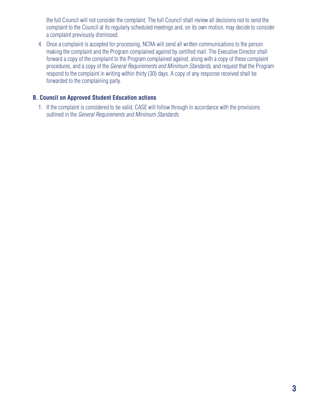the full Council will not consider the complaint. The full Council shall review all decisions not to send the complaint to the Council at its regularly scheduled meetings and, on its own motion, may decide to consider a complaint previously dismissed.

4. Once a complaint is accepted for processing, NCRA will send all written communications to the person making the complaint and the Program complained against by certified mail. The Executive Director shall forward a copy of the complaint to the Program complained against, along with a copy of these complaint procedures, and a copy of the General Requirements and Minimum Standards, and request that the Program respond to the complaint in writing within thirty (30) days. A copy of any response received shall be forwarded to the complaining party.

#### **B. Council on Approved Student Education actions**

1. If the complaint is considered to be valid, CASE will follow through in accordance with the provisions outlined in the General Requirements and Minimum Standards.